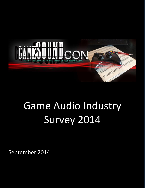

# Game Audio Industry Survey 2014

September 2014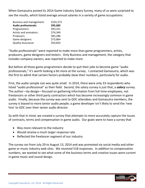When Gamasutra posted its 2014 Game Industry Salary Survey, many of us were surprised to see the results, which listed average annual salaries in a variety of game occupations:

| Business and management:    | \$101,572 |
|-----------------------------|-----------|
| <b>Audio professionals:</b> | \$95,682  |
| Programmers:                | \$93,251  |
| Artists and animators:      | \$74,349  |
| Producers:                  | \$82,286  |
| Game designers:             | \$73,864  |
| <b>Quality Assurance:</b>   | \$54,833  |

"Audio professionals" were reported to make more than game programmers, artists, producers, game designers and testers. Only Business and management, the category that includes company owners, was reported to make more.

But before all those game programmers decide to quit their jobs to become game "audio professionals," it's worth looking a bit more at the survey. I contacted Gamasutra, which was the first to admit that certain factors probably skew their numbers, particularly for audio.

First, the audio sample size was quite small. In 2014, there were only 33 respondents who listed "audio professional" as their field. Second, the salary survey is just that, a *salary* survey. The author—by design—focused on gathering information from full-time employees, not freelancers or other third party contractors which has become increasingly common in game audio. Finally, because the survey was sent to GDC attendees and Gamasutra members, the survey is biased to more senior audio people; a game developer isn't likely to send the 'new hire' to GDC over their senior audio director.

So with that in mind, we created a survey that attempts to more accurately capture the issues of contracts, terms and compensation in game audio. Our goals were to have a survey that

- Was more relevant to the industry
- Would receive a much larger response rate
- Reflected the freelancer segment of our industry

The survey ran from July 29 to August 13, 2014 and was promoted via social media and other game or music industry web sites. We received 518 responses. In addition to compensation numbers, we wanted to see what some of the business terms and creative issues were current in game music and sound design.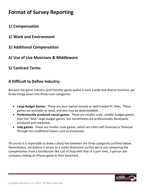# **Format of Survey Reporting**

# **1/ Compensation**

- **2/ Work and Environment**
- **3/ Additional Compensation**
- **4/ Use of Live Musicians & Middleware**

# **5/ Contract Terms**

# **A Difficult to Define Industry:**

Because the game industry (and therefor game audio) is such a wide and diverse business, we broke things down into three main categories:

- **Large Budget Games.** These are your typical console or well-funded PC titles. These games are available at retail, and also may be downloadable.
- **Professionally produced casual games**. These are smaller scale; smaller budget games than the "AAA" large budget games, but nonetheless are professionally developed, produced and marketed.
- **Indy games.** These are smaller scale games, which are often self-financed or financed through non-traditional means such as kickstarter.

Of course it is impossible to draw a sharp line between the three categories outlined above. Nevertheless, we believe it serves as a useful distinction so that we're not comparing the compensation from a blockbuster like Call of Duty with that of a part-time, 2-person dev company making an iPhone game in their basement.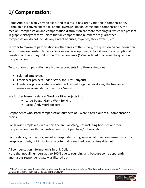# **1/ Compensation:**

Game Audio is a highly diverse field, and as a result has large variation in compensation. Although it is convenient to talk about "average" (mean) game audio compensation, the median<sup>1</sup> compensation and compensation distribution are more meaningful, which we present in graphic histogram form. Note that all compensation numbers are guaranteed compensation, do not include any kind of bonuses, royalties, stock awards, etc.

In order to maximize participation in other areas of the survey, the question on compensation, which some are hesitant to report in a survey, was optional; in fact it was the only optional question on the survey. 64 of the 514 respondents (12%) declined to answer the question on compensation.

To calculate compensation, we broke respondents into three categories:

- Salaried Employees
- Freelancer projects under "Work for Hire" (buyout)
- Freelancer projects where content is licensed to game developer; the freelancer maintains ownership of the music/sound.

We further broke freelancer Work for Hire projects into:

- Large-budget Game Work for Hire
- Casual/Indy Work for Hire

Respondents who listed compensation numbers of 0 were filtered out of all compensation charts.

For salaried employees, we report the annual salary, not including bonuses or other compensation (health plan, retirement, stock purchase/options, etc.)

For freelance/contractors, we asked respondents to give us what their compensation is on a per-project basis, not including any potential or realized bonuses/royalties, etc.

All compensation information is in U.S. Dollars Note that not all numbers add to 100% due to rounding and because some apparently anomalous respondent data was filtered out.

 $1$  "Mean" is the average: the sum of all numbers divided by the number of entries. "Median" is the 'middle number'. There are as many salaries higher than the median as there are lower.



 $\overline{a}$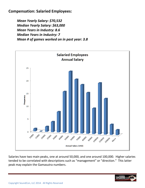**Compensation: Salaried Employees:** 

*Mean Yearly Salary: \$70,532 Median Yearly Salary: \$63,000 Mean Years in Industry: 8.6 Median Years in Industry: 7 Mean # of games worked on in past year: 3.8*



Salaries have two main peaks, one at around 50,000, and one around 100,000. Higher salaries tended to be correlated with descriptions such as "management" or "direction." This latter peak may explain the Gamasutra numbers.

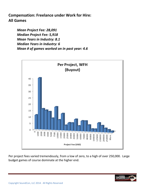**Compensation: Freelance under Work for Hire: All Games**

> *Mean Project Fee: 28,091 Median Project Fee: 5,918 Mean Years in Industry: 8.1 Median Years in Industry: 6 Mean # of games worked on in past year: 4.6*



Per project fees varied tremendously, from a low of zero, to a high of over 250,000. Large budget games of course dominate at the higher end.

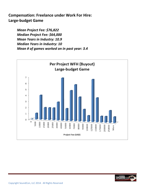**Compensation: Freelance under Work For Hire: Large-budget Game**

> *Mean Project Fee: \$76,822 Median Project Fee: \$64,000 Mean Years in Industry: 10.9 Median Years in Industry: 10 Mean # of games worked on in past year: 3.4*



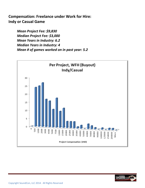# **Compensation: Freelance under Work for Hire: Indy or Casual Game**

*Mean Project Fee: \$9,830 Median Project Fee: \$3,000 Mean Years in Industry: 6.2 Median Years in Industry: 4 Mean # of games worked on in past year: 5.2*



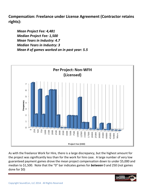**Compensation: Freelance under License Agreement (Contractor retains rights):** 

*Mean Project Fee: 4,481 Median Project Fee: 1,500 Mean Years in Industry: 4.7 Median Years in Industry: 3 Mean # of games worked on in past year: 5.5*



As with the freelance Work for Hire, there is a large discrepancy, but the highest amount for the project was significantly less than for the work for hire case. A large number of very low guaranteed payment games drove the mean project compensation down to under \$5,000 and median to \$1,500. Note that the "0" bar indicates games for *between* 0 and 250 (not games done for \$0)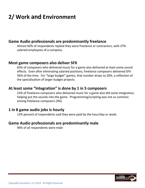# **2/ Work and Environment**

#### **Game Audio professionals are predominantly freelance**

Almost 60% of respondents replied they were freelance or contractors, with 37% salaried employees of a company.

#### **Most game composers also deliver SFX**

65% of composers who delivered music for a game also delivered at least some sound effects. Even after eliminating salaried positions, freelance composers delivered SFX 56% of the time. For "large budget" games, that number drops to 20%, a reflection of the specialization of larger budget projects.

#### **At least some "Integration" is done by 1 in 5 composers**

22% of freelance composers who delivered music for a game also did some integration, helping put the sounds into the game. Programming/scripting was not so common among freelance composers (4%)

#### **1 in 8 game audio jobs is hourly**

12% percent of respondents said they were paid by the hour/day or week.

#### **Game Audio professionals are predominantly male**

96% of all respondents were male

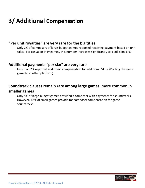# **3/ Additional Compensation**

#### **"Per unit royalties" are very rare for the big titles**

Only 2% of composers of large-budget games reported receiving payment based on unit sales. For casual or indy games, this number increases significantly to a still slim 17%

#### **Additional payments "per sku" are very rare**

Less than 2% reported additional compensation for additional 'skus' (Porting the same game to another platform).

### **Soundtrack clauses remain rare among large games, more common in smaller games**

Only 5% of large-budget games provided a composer with payments for soundtracks. However, 18% of small games provide for composer compensation for game soundtracks.

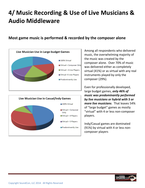# **4/ Music Recording & Use of Live Musicians & Audio Middleware**

### **Most game music is performed & recorded by the composer alone**





Among all respondents who delivered music, the overwhelming majority of the music was created by the composer alone. Over 70% of music was delivered either as completely virtual (41%) or as virtual with any real instruments played by only the composer (29%).

Even for professionally developed, large budget games, *only 46% of music was predominantly performed by live musicians or hybrid with 5 or more live musicians*. That leaves 54% of "large budget" games as mostly "virtual" with 4 or less non-composer players.

Indy/Casual games are dominated (91%) by virtual with 4 or less noncomposer players

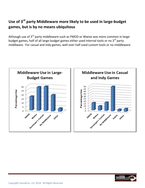# Use of 3<sup>rd</sup> party Middleware more likely to be used in large-budget **games, but is by no means ubiquitous**

Although use of 3<sup>rd</sup> party middleware such as FMOD or Wwise was more common in largebudget games, half of all large-budget games either used internal tools or no 3<sup>rd</sup> party middlware. For casual and indy games, well over half used custom tools or no middleware.



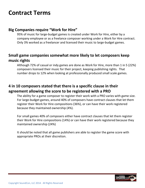# **Contract Terms**

#### **Big Companies require "Work for Hire"**

95% of music for large-budget games is created under Work for Hire, either by a company employee or as a freelance composer working under a Work for Hire contract. Only 3% worked as a freelancer and licensed their music to large-budget games.

### **Small game companies somewhat more likely to let composers keep music rights**

Although 72% of casual or indy games are done as Work for Hire, more than 1 in 5 (22%) composers licensed their music for their project, keeping publishing rights. That number drops to 12% when looking at professionally produced small scale games.

# **4 in 10 composers stated that there is a specific clause in their agreement allowing the score to be registered with a PRO**

The ability for a game composer to register their work with a PRO varies with game size. For large-budget games, around 40% of composers have contract clauses that let them register their Work for Hire compositions (36%), or can have their work registered because they maintained ownership (4%).

For small games 40% of composers either have contract clauses that let them register their Work for Hire compositions (14%) or can have their work registered because they maintained ownership (24%)

It should be noted that all game publishers are able to register the game score with appropriate PROs at their discretion.